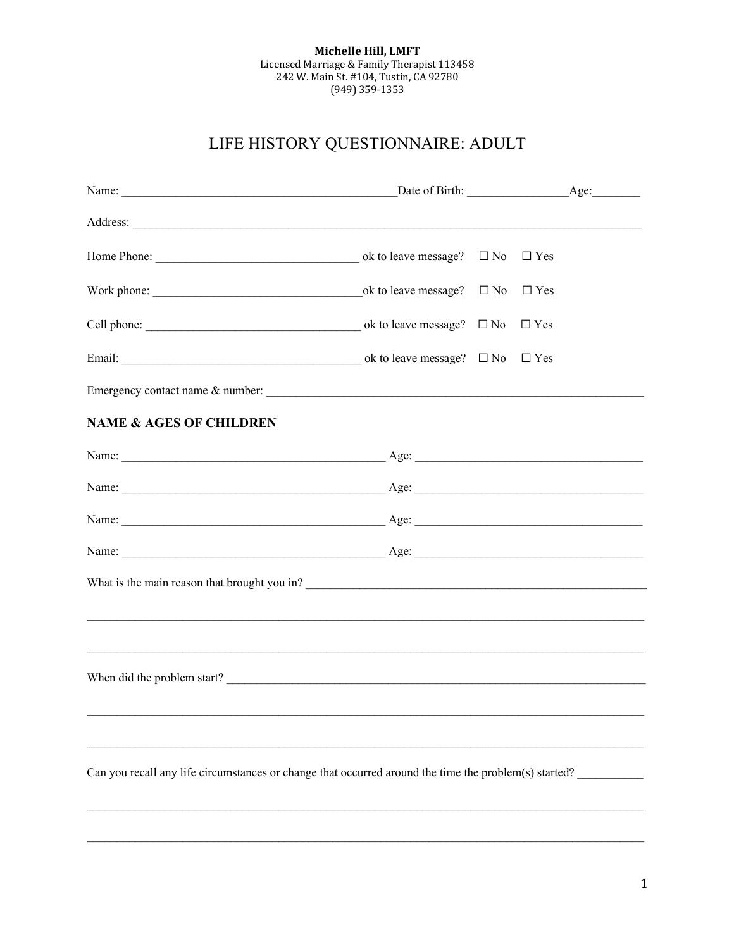## Michelle Hill, LMFT Licensed Marriage & Family Therapist 113458<br>242 W. Main St. #104, Tustin, CA 92780  $(949)$  359-1353

# LIFE HISTORY QUESTIONNAIRE: ADULT

| Address: <u>New York: Address:</u> New York: 2008. The Contract of the Contract of the Contract of the Contract of the Contract of the Contract of the Contract of the Contract of the Contract of the Contract of the Contract of |  |  |            |  |  |
|------------------------------------------------------------------------------------------------------------------------------------------------------------------------------------------------------------------------------------|--|--|------------|--|--|
|                                                                                                                                                                                                                                    |  |  | $\Box$ Yes |  |  |
|                                                                                                                                                                                                                                    |  |  |            |  |  |
|                                                                                                                                                                                                                                    |  |  | $\Box$ Yes |  |  |
|                                                                                                                                                                                                                                    |  |  |            |  |  |
| Emergency contact name & number:                                                                                                                                                                                                   |  |  |            |  |  |
| <b>NAME &amp; AGES OF CHILDREN</b>                                                                                                                                                                                                 |  |  |            |  |  |
|                                                                                                                                                                                                                                    |  |  |            |  |  |
|                                                                                                                                                                                                                                    |  |  |            |  |  |
| Name: <u>Age:</u> Age: <u>Age:</u> Age: 1999                                                                                                                                                                                       |  |  |            |  |  |
|                                                                                                                                                                                                                                    |  |  |            |  |  |
|                                                                                                                                                                                                                                    |  |  |            |  |  |
| ,我们也不能会在这里,我们的人们就会在这里,我们的人们就会不会在这里,我们的人们就会不会在这里,我们的人们就会不会在这里。我们的人们就会不会在这里,我们的人们就                                                                                                                                                   |  |  |            |  |  |
|                                                                                                                                                                                                                                    |  |  |            |  |  |
|                                                                                                                                                                                                                                    |  |  |            |  |  |
|                                                                                                                                                                                                                                    |  |  |            |  |  |
|                                                                                                                                                                                                                                    |  |  |            |  |  |
| Can you recall any life circumstances or change that occurred around the time the problem(s) started?                                                                                                                              |  |  |            |  |  |
|                                                                                                                                                                                                                                    |  |  |            |  |  |
|                                                                                                                                                                                                                                    |  |  |            |  |  |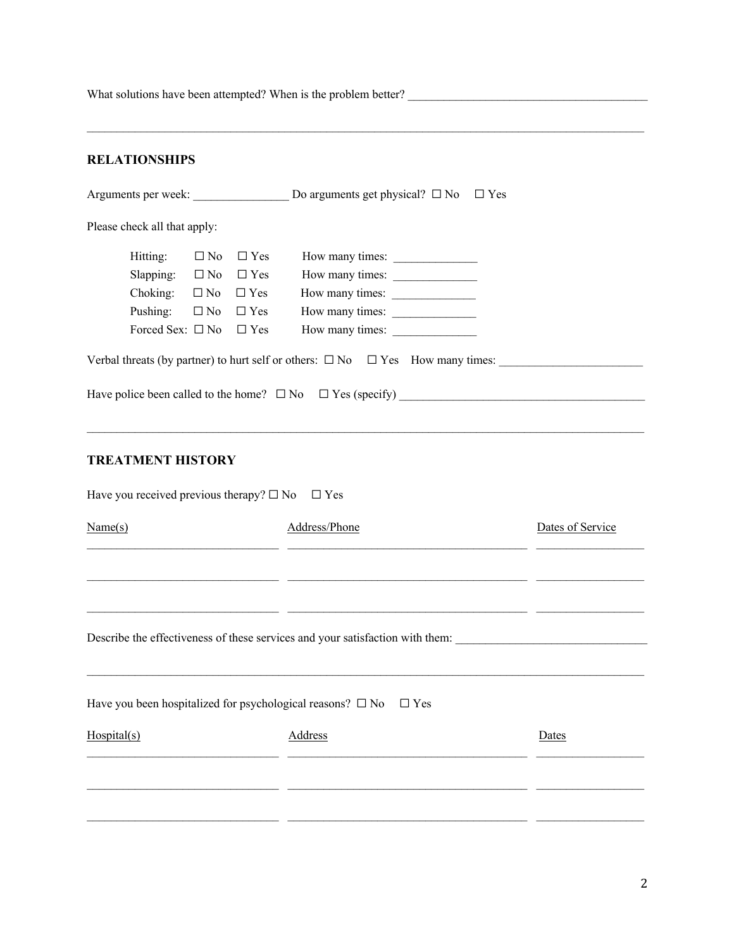What solutions have been attempted? When is the problem better?  $\mathcal{L}_\mathcal{L} = \mathcal{L}_\mathcal{L} = \mathcal{L}_\mathcal{L} = \mathcal{L}_\mathcal{L} = \mathcal{L}_\mathcal{L} = \mathcal{L}_\mathcal{L} = \mathcal{L}_\mathcal{L} = \mathcal{L}_\mathcal{L} = \mathcal{L}_\mathcal{L} = \mathcal{L}_\mathcal{L} = \mathcal{L}_\mathcal{L} = \mathcal{L}_\mathcal{L} = \mathcal{L}_\mathcal{L} = \mathcal{L}_\mathcal{L} = \mathcal{L}_\mathcal{L} = \mathcal{L}_\mathcal{L} = \mathcal{L}_\mathcal{L}$ **RELATIONSHIPS** Arguments per week:  $\Box$  Do arguments get physical?  $\Box$  No  $\Box$  Yes Please check all that apply:  $Hitting: \Box No \Box Yes \qquad How many times: \_\_$  $S$ lapping:  $\Box$  No  $\Box$  Yes How many times:  $\Box$  $Choking: \quad \Box$  No  $\quad \Box$  Yes How many times:  $\_\_$ Pushing:  $\Box$  No  $\Box$  Yes How many times: Forced Sex: ☐ No ☐ Yes How many times: \_\_\_\_\_\_\_\_\_\_\_\_\_\_ Verbal threats (by partner) to hurt self or others:  $\Box$  No  $\Box$  Yes How many times: Have police been called to the home?  $\Box$  No  $\Box$  Yes (specify) **TREATMENT HISTORY** Have you received previous therapy?  $\square$  No  $\square$  Yes Name(s) Address/Phone Dates of Service  $\mathcal{L}_\mathcal{L} = \mathcal{L}_\mathcal{L} = \mathcal{L}_\mathcal{L} = \mathcal{L}_\mathcal{L} = \mathcal{L}_\mathcal{L} = \mathcal{L}_\mathcal{L} = \mathcal{L}_\mathcal{L} = \mathcal{L}_\mathcal{L} = \mathcal{L}_\mathcal{L} = \mathcal{L}_\mathcal{L} = \mathcal{L}_\mathcal{L} = \mathcal{L}_\mathcal{L} = \mathcal{L}_\mathcal{L} = \mathcal{L}_\mathcal{L} = \mathcal{L}_\mathcal{L} = \mathcal{L}_\mathcal{L} = \mathcal{L}_\mathcal{L}$  $\mathcal{L}_\mathcal{L} = \mathcal{L}_\mathcal{L} = \mathcal{L}_\mathcal{L} = \mathcal{L}_\mathcal{L} = \mathcal{L}_\mathcal{L} = \mathcal{L}_\mathcal{L} = \mathcal{L}_\mathcal{L} = \mathcal{L}_\mathcal{L} = \mathcal{L}_\mathcal{L} = \mathcal{L}_\mathcal{L} = \mathcal{L}_\mathcal{L} = \mathcal{L}_\mathcal{L} = \mathcal{L}_\mathcal{L} = \mathcal{L}_\mathcal{L} = \mathcal{L}_\mathcal{L} = \mathcal{L}_\mathcal{L} = \mathcal{L}_\mathcal{L}$ Describe the effectiveness of these services and your satisfaction with them: Have you been hospitalized for psychological reasons?  $\Box$  No  $\Box$  Yes Hospital(s) Address Dates  $\mathcal{L}_\mathcal{L} = \mathcal{L}_\mathcal{L} = \mathcal{L}_\mathcal{L} = \mathcal{L}_\mathcal{L} = \mathcal{L}_\mathcal{L} = \mathcal{L}_\mathcal{L} = \mathcal{L}_\mathcal{L} = \mathcal{L}_\mathcal{L} = \mathcal{L}_\mathcal{L} = \mathcal{L}_\mathcal{L} = \mathcal{L}_\mathcal{L} = \mathcal{L}_\mathcal{L} = \mathcal{L}_\mathcal{L} = \mathcal{L}_\mathcal{L} = \mathcal{L}_\mathcal{L} = \mathcal{L}_\mathcal{L} = \mathcal{L}_\mathcal{L}$  $\mathcal{L}_\mathcal{L} = \mathcal{L}_\mathcal{L} = \mathcal{L}_\mathcal{L} = \mathcal{L}_\mathcal{L} = \mathcal{L}_\mathcal{L} = \mathcal{L}_\mathcal{L} = \mathcal{L}_\mathcal{L} = \mathcal{L}_\mathcal{L} = \mathcal{L}_\mathcal{L} = \mathcal{L}_\mathcal{L} = \mathcal{L}_\mathcal{L} = \mathcal{L}_\mathcal{L} = \mathcal{L}_\mathcal{L} = \mathcal{L}_\mathcal{L} = \mathcal{L}_\mathcal{L} = \mathcal{L}_\mathcal{L} = \mathcal{L}_\mathcal{L}$  $\mathcal{L}_\mathcal{L} = \mathcal{L}_\mathcal{L} = \mathcal{L}_\mathcal{L} = \mathcal{L}_\mathcal{L} = \mathcal{L}_\mathcal{L} = \mathcal{L}_\mathcal{L} = \mathcal{L}_\mathcal{L} = \mathcal{L}_\mathcal{L} = \mathcal{L}_\mathcal{L} = \mathcal{L}_\mathcal{L} = \mathcal{L}_\mathcal{L} = \mathcal{L}_\mathcal{L} = \mathcal{L}_\mathcal{L} = \mathcal{L}_\mathcal{L} = \mathcal{L}_\mathcal{L} = \mathcal{L}_\mathcal{L} = \mathcal{L}_\mathcal{L}$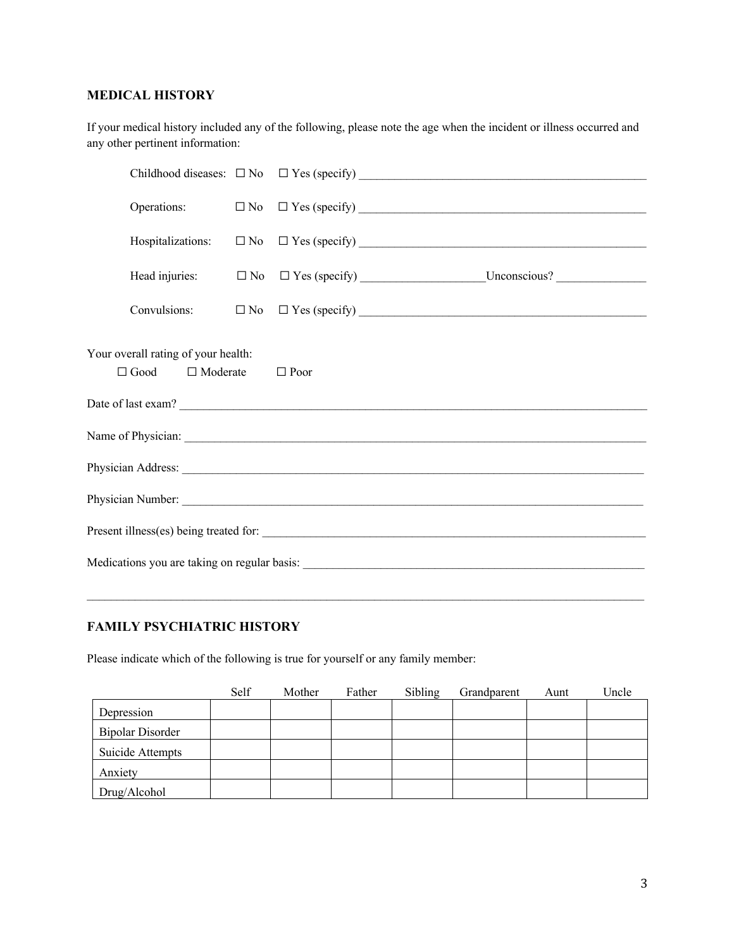### **MEDICAL HISTORY**

If your medical history included any of the following, please note the age when the incident or illness occurred and any other pertinent information:

| Your overall rating of your health: | $\Box$ Good $\Box$ Moderate | $\Box$ Poor |  |  |  |
|-------------------------------------|-----------------------------|-------------|--|--|--|
|                                     |                             |             |  |  |  |
|                                     |                             |             |  |  |  |
|                                     |                             |             |  |  |  |
|                                     |                             |             |  |  |  |
|                                     |                             |             |  |  |  |
|                                     |                             |             |  |  |  |

## **FAMILY PSYCHIATRIC HISTORY**

Please indicate which of the following is true for yourself or any family member:

|                         | Self | Mother | Father | Sibling | Grandparent | Aunt | Uncle |
|-------------------------|------|--------|--------|---------|-------------|------|-------|
| Depression              |      |        |        |         |             |      |       |
| <b>Bipolar Disorder</b> |      |        |        |         |             |      |       |
| Suicide Attempts        |      |        |        |         |             |      |       |
| Anxiety                 |      |        |        |         |             |      |       |
| Drug/Alcohol            |      |        |        |         |             |      |       |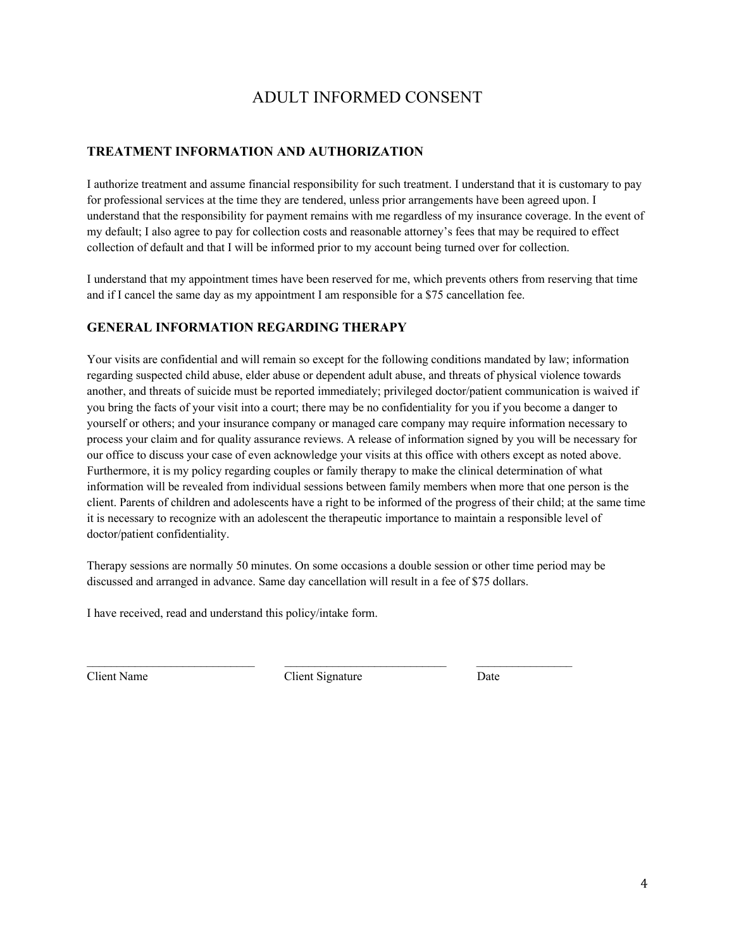## ADULT INFORMED CONSENT

## **TREATMENT INFORMATION AND AUTHORIZATION**

I authorize treatment and assume financial responsibility for such treatment. I understand that it is customary to pay for professional services at the time they are tendered, unless prior arrangements have been agreed upon. I understand that the responsibility for payment remains with me regardless of my insurance coverage. In the event of my default; I also agree to pay for collection costs and reasonable attorney's fees that may be required to effect collection of default and that I will be informed prior to my account being turned over for collection.

I understand that my appointment times have been reserved for me, which prevents others from reserving that time and if I cancel the same day as my appointment I am responsible for a \$75 cancellation fee.

### **GENERAL INFORMATION REGARDING THERAPY**

Your visits are confidential and will remain so except for the following conditions mandated by law; information regarding suspected child abuse, elder abuse or dependent adult abuse, and threats of physical violence towards another, and threats of suicide must be reported immediately; privileged doctor/patient communication is waived if you bring the facts of your visit into a court; there may be no confidentiality for you if you become a danger to yourself or others; and your insurance company or managed care company may require information necessary to process your claim and for quality assurance reviews. A release of information signed by you will be necessary for our office to discuss your case of even acknowledge your visits at this office with others except as noted above. Furthermore, it is my policy regarding couples or family therapy to make the clinical determination of what information will be revealed from individual sessions between family members when more that one person is the client. Parents of children and adolescents have a right to be informed of the progress of their child; at the same time it is necessary to recognize with an adolescent the therapeutic importance to maintain a responsible level of doctor/patient confidentiality.

Therapy sessions are normally 50 minutes. On some occasions a double session or other time period may be discussed and arranged in advance. Same day cancellation will result in a fee of \$75 dollars.

I have received, read and understand this policy/intake form.

Client Name Client Signature Date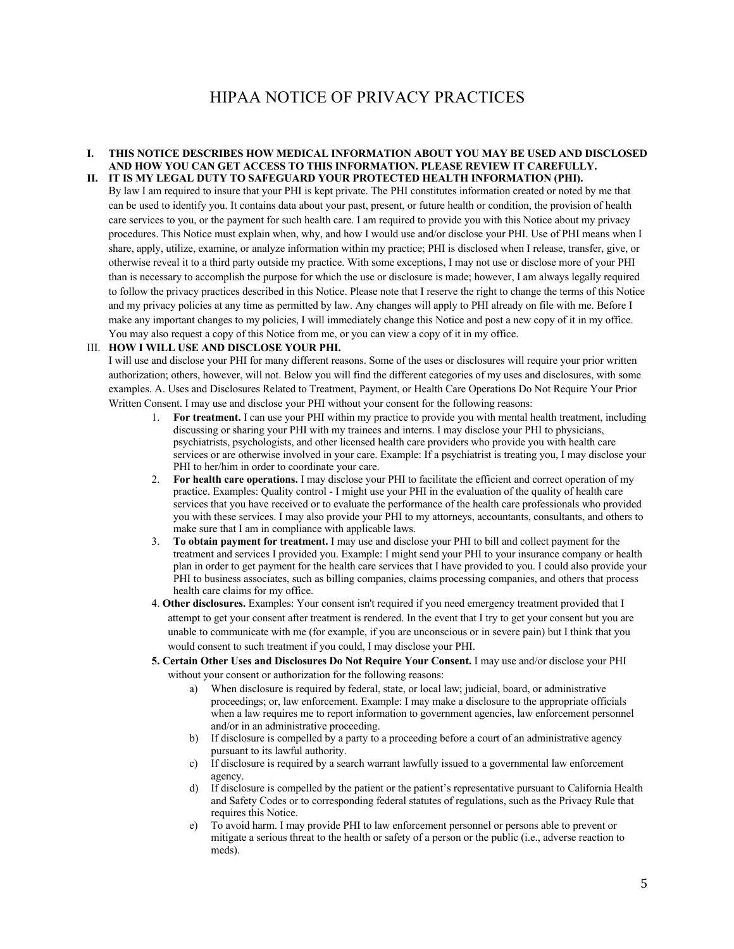## HIPAA NOTICE OF PRIVACY PRACTICES

#### **I. THIS NOTICE DESCRIBES HOW MEDICAL INFORMATION ABOUT YOU MAY BE USED AND DISCLOSED AND HOW YOU CAN GET ACCESS TO THIS INFORMATION. PLEASE REVIEW IT CAREFULLY. II. IT IS MY LEGAL DUTY TO SAFEGUARD YOUR PROTECTED HEALTH INFORMATION (PHI).**

By law I am required to insure that your PHI is kept private. The PHI constitutes information created or noted by me that can be used to identify you. It contains data about your past, present, or future health or condition, the provision of health care services to you, or the payment for such health care. I am required to provide you with this Notice about my privacy procedures. This Notice must explain when, why, and how I would use and/or disclose your PHI. Use of PHI means when I share, apply, utilize, examine, or analyze information within my practice; PHI is disclosed when I release, transfer, give, or otherwise reveal it to a third party outside my practice. With some exceptions, I may not use or disclose more of your PHI than is necessary to accomplish the purpose for which the use or disclosure is made; however, I am always legally required to follow the privacy practices described in this Notice. Please note that I reserve the right to change the terms of this Notice and my privacy policies at any time as permitted by law. Any changes will apply to PHI already on file with me. Before I make any important changes to my policies, I will immediately change this Notice and post a new copy of it in my office. You may also request a copy of this Notice from me, or you can view a copy of it in my office.

#### III. **HOW I WILL USE AND DISCLOSE YOUR PHI.**

I will use and disclose your PHI for many different reasons. Some of the uses or disclosures will require your prior written authorization; others, however, will not. Below you will find the different categories of my uses and disclosures, with some examples. A. Uses and Disclosures Related to Treatment, Payment, or Health Care Operations Do Not Require Your Prior Written Consent. I may use and disclose your PHI without your consent for the following reasons:

- 1. **For treatment.** I can use your PHI within my practice to provide you with mental health treatment, including discussing or sharing your PHI with my trainees and interns. I may disclose your PHI to physicians, psychiatrists, psychologists, and other licensed health care providers who provide you with health care services or are otherwise involved in your care. Example: If a psychiatrist is treating you, I may disclose your PHI to her/him in order to coordinate your care.
- 2. **For health care operations.** I may disclose your PHI to facilitate the efficient and correct operation of my practice. Examples: Quality control - I might use your PHI in the evaluation of the quality of health care services that you have received or to evaluate the performance of the health care professionals who provided you with these services. I may also provide your PHI to my attorneys, accountants, consultants, and others to make sure that I am in compliance with applicable laws.
- 3. **To obtain payment for treatment.** I may use and disclose your PHI to bill and collect payment for the treatment and services I provided you. Example: I might send your PHI to your insurance company or health plan in order to get payment for the health care services that I have provided to you. I could also provide your PHI to business associates, such as billing companies, claims processing companies, and others that process health care claims for my office.
- 4. **Other disclosures.** Examples: Your consent isn't required if you need emergency treatment provided that I attempt to get your consent after treatment is rendered. In the event that I try to get your consent but you are unable to communicate with me (for example, if you are unconscious or in severe pain) but I think that you would consent to such treatment if you could, I may disclose your PHI.
- **5. Certain Other Uses and Disclosures Do Not Require Your Consent.** I may use and/or disclose your PHI without your consent or authorization for the following reasons:
	- When disclosure is required by federal, state, or local law; judicial, board, or administrative proceedings; or, law enforcement. Example: I may make a disclosure to the appropriate officials when a law requires me to report information to government agencies, law enforcement personnel and/or in an administrative proceeding.
	- b) If disclosure is compelled by a party to a proceeding before a court of an administrative agency pursuant to its lawful authority.
	- c) If disclosure is required by a search warrant lawfully issued to a governmental law enforcement agency.
	- d) If disclosure is compelled by the patient or the patient's representative pursuant to California Health and Safety Codes or to corresponding federal statutes of regulations, such as the Privacy Rule that requires this Notice.
	- e) To avoid harm. I may provide PHI to law enforcement personnel or persons able to prevent or mitigate a serious threat to the health or safety of a person or the public (i.e., adverse reaction to meds).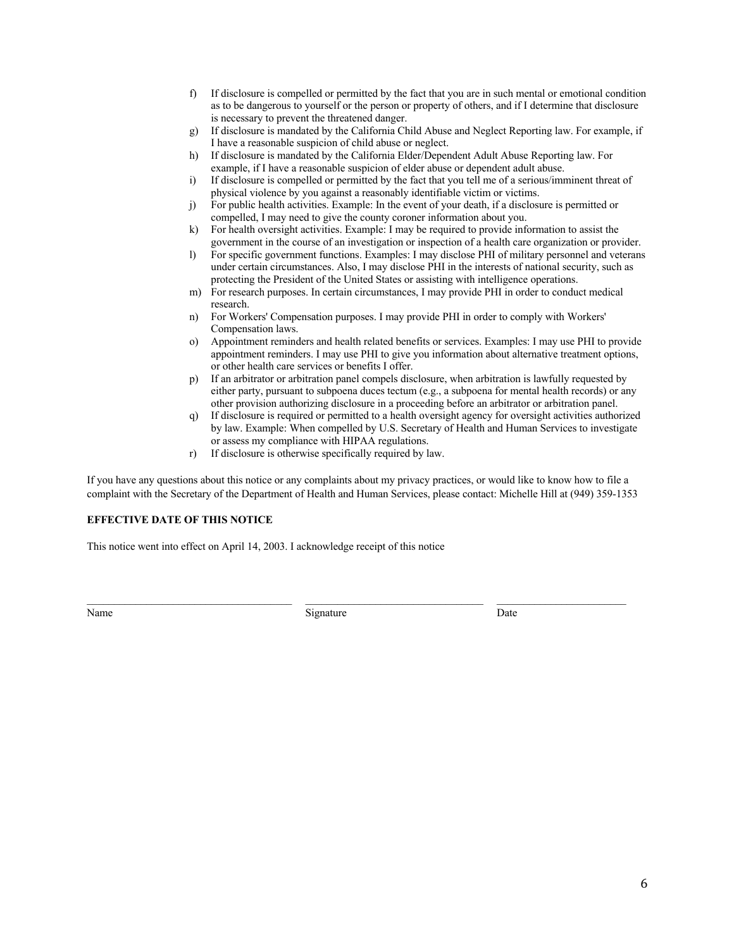- f) If disclosure is compelled or permitted by the fact that you are in such mental or emotional condition as to be dangerous to yourself or the person or property of others, and if I determine that disclosure is necessary to prevent the threatened danger.
- g) If disclosure is mandated by the California Child Abuse and Neglect Reporting law. For example, if I have a reasonable suspicion of child abuse or neglect.
- h) If disclosure is mandated by the California Elder/Dependent Adult Abuse Reporting law. For example, if I have a reasonable suspicion of elder abuse or dependent adult abuse.
- i) If disclosure is compelled or permitted by the fact that you tell me of a serious/imminent threat of physical violence by you against a reasonably identifiable victim or victims.
- j) For public health activities. Example: In the event of your death, if a disclosure is permitted or compelled, I may need to give the county coroner information about you.
- k) For health oversight activities. Example: I may be required to provide information to assist the government in the course of an investigation or inspection of a health care organization or provider.
- l) For specific government functions. Examples: I may disclose PHI of military personnel and veterans under certain circumstances. Also, I may disclose PHI in the interests of national security, such as protecting the President of the United States or assisting with intelligence operations.
- m) For research purposes. In certain circumstances, I may provide PHI in order to conduct medical research.
- n) For Workers' Compensation purposes. I may provide PHI in order to comply with Workers' Compensation laws.
- o) Appointment reminders and health related benefits or services. Examples: I may use PHI to provide appointment reminders. I may use PHI to give you information about alternative treatment options, or other health care services or benefits I offer.
- p) If an arbitrator or arbitration panel compels disclosure, when arbitration is lawfully requested by either party, pursuant to subpoena duces tectum (e.g., a subpoena for mental health records) or any other provision authorizing disclosure in a proceeding before an arbitrator or arbitration panel.
- q) If disclosure is required or permitted to a health oversight agency for oversight activities authorized by law. Example: When compelled by U.S. Secretary of Health and Human Services to investigate or assess my compliance with HIPAA regulations.
- r) If disclosure is otherwise specifically required by law.

If you have any questions about this notice or any complaints about my privacy practices, or would like to know how to file a complaint with the Secretary of the Department of Health and Human Services, please contact: Michelle Hill at (949) 359-1353

#### **EFFECTIVE DATE OF THIS NOTICE**

This notice went into effect on April 14, 2003. I acknowledge receipt of this notice

Name Date **Signature** Signature Date Date